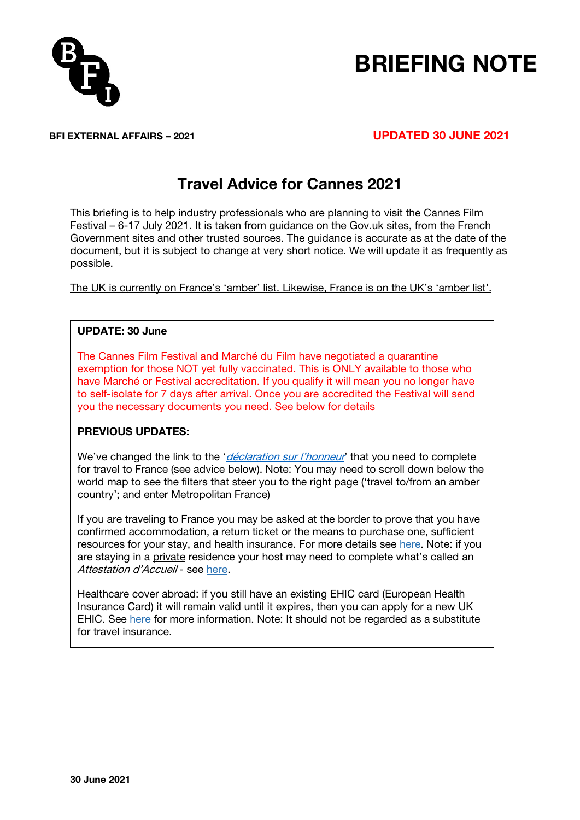

# BRIEFING NOTE

### BFI EXTERNAL AFFAIRS – 2021 UPDATED 30 JUNE 2021

# Travel Advice for Cannes 2021

This briefing is to help industry professionals who are planning to visit the Cannes Film Festival – 6-17 July 2021. It is taken from guidance on the Gov.uk sites, from the French Government sites and other trusted sources. The guidance is accurate as at the date of the document, but it is subject to change at very short notice. We will update it as frequently as possible.

The UK is currently on France's 'amber' list. Likewise, France is on the UK's 'amber list'.

#### UPDATE: 30 June

The Cannes Film Festival and Marché du Film have negotiated a quarantine exemption for those NOT yet fully vaccinated. This is ONLY available to those who have Marché or Festival accreditation. If you qualify it will mean you no longer have to self-isolate for 7 days after arrival. Once you are accredited the Festival will send you the necessary documents you need. See below for details

#### PREVIOUS UPDATES:

We've changed the link to the '*déclaration [sur l'honneur](https://www.interieur.gouv.fr/Actualites/L-actu-du-Ministere/Certificate-of-international-travel#from4)*' that you need to complete for travel to France (see advice below). Note: You may need to scroll down below the world map to see the filters that steer you to the right page ('travel to/from an amber country'; and enter Metropolitan France)

If you are traveling to France you may be asked at the border to prove that you have confirmed accommodation, a return ticket or the means to purchase one, sufficient resources for your stay, and health insurance. For more details see [here.](https://france-visas.gouv.fr/en_US/web/france-visas/your-arrival-in-france) Note: if you are staying in a private residence your host may need to complete what's called an Attestation d'Accueil - see [here.](https://thefrenchadobo.com/all-you-need-to-know-about-the-attestation-daccueil-the-document-that-you-need-to-sponsor-a-family-friends-schengen-visa-application/)

Healthcare cover abroad: if you still have an existing EHIC card (European Health Insurance Card) it will remain valid until it expires, then you can apply for a new UK EHIC. See [here](https://www.nhs.uk/using-the-nhs/healthcare-abroad/apply-for-a-free-uk-global-health-insurance-card-ghic/) for more information. Note: It should not be regarded as a substitute for travel insurance.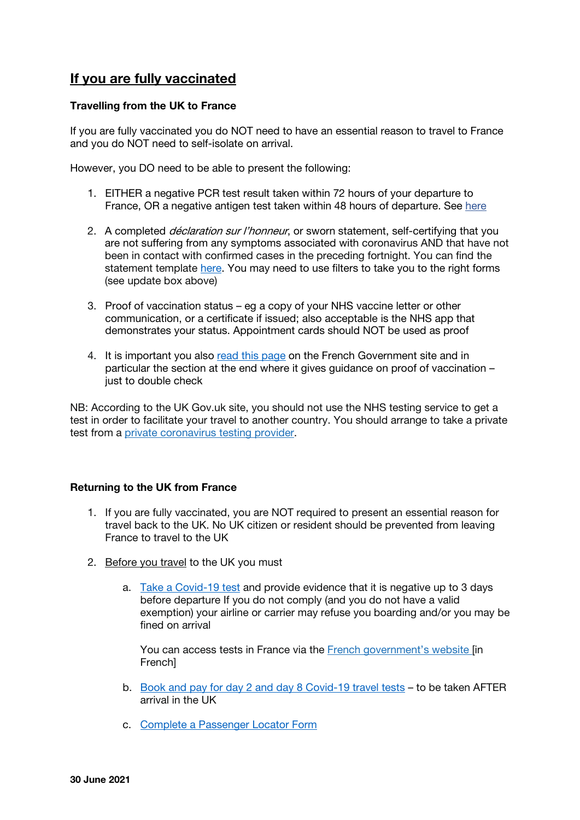# If you are fully vaccinated

#### Travelling from the UK to France

If you are fully vaccinated you do NOT need to have an essential reason to travel to France and you do NOT need to self-isolate on arrival.

However, you DO need to be able to present the following:

- 1. EITHER a negative PCR test result taken within 72 hours of your departure to France, OR a negative antigen test taken within 48 hours of departure. See [here](https://www.gov.uk/government/publications/list-of-private-providers-of-coronavirus-testing/list-of-private-providers-of-coronavirus-testing)
- 2. A completed *déclaration sur l'honneur*, or sworn statement, self-certifying that you are not suffering from any symptoms associated with coronavirus AND that have not been in contact with confirmed cases in the preceding fortnight. You can find the statement template [here.](https://www.interieur.gouv.fr/Actualites/L-actu-du-Ministere/Certificate-of-international-travel#from4) You may need to use filters to take you to the right forms (see update box above)
- 3. Proof of vaccination status eg a copy of your NHS vaccine letter or other communication, or a certificate if issued; also acceptable is the NHS app that demonstrates your status. Appointment cards should NOT be used as proof
- 4. It is important you also [read this page](https://uk.ambafrance.org/Strategy-for-reopening-of-borders-from-9-June-onwards) on the French Government site and in particular the section at the end where it gives guidance on proof of vaccination – just to double check

NB: According to the UK Gov.uk site, you should not use the NHS testing service to get a test in order to facilitate your travel to another country. You should arrange to take a private test from a private [coronavirus](https://www.gov.uk/government/publications/list-of-private-providers-of-coronavirus-testing/list-of-private-providers-of-coronavirus-testing) testing provider.

#### Returning to the UK from France

- 1. If you are fully vaccinated, you are NOT required to present an essential reason for travel back to the UK. No UK citizen or resident should be prevented from leaving France to travel to the UK
- 2. Before you travel to the UK you must
	- a. [Take a Covid-19 test](https://www.gov.uk/guidance/coronavirus-covid-19-testing-for-people-travelling-to-england) and provide evidence that it is negative up to 3 days before departure If you do not comply (and you do not have a valid exemption) your airline or carrier may refuse you boarding and/or you may be fined on arrival

You can access tests in France via the French [government's](https://solidarites-sante.gouv.fr/) website [in **Frenchl** 

- b. [Book and pay for day 2 and day 8 Covid-19 travel tests](https://www.gov.uk/find-travel-test-provider) to be taken AFTER arrival in the UK
- c. [Complete a Passenger Locator Form](https://www.gov.uk/provide-journey-contact-details-before-travel-uk)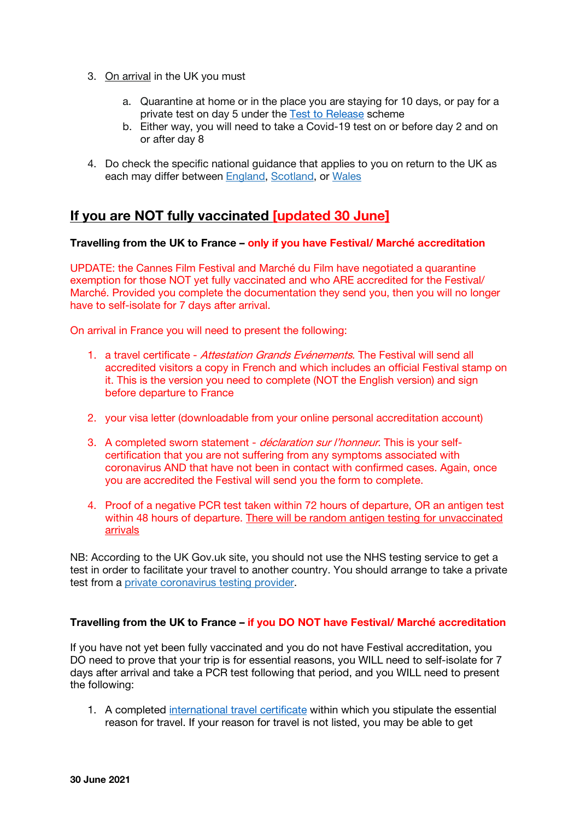- 3. On arrival in the UK you must
	- a. Quarantine at home or in the place you are staying for 10 days, or pay for a private test on day 5 under the [Test to Release](https://www.gov.uk/guidance/coronavirus-covid-19-test-to-release-for-international-travel) scheme
	- b. Either way, you will need to take a Covid-19 test on or before day 2 and on or after day 8
- 4. Do check the specific national guidance that applies to you on return to the UK as each may differ between [England,](https://www.gov.uk/guidance/coronavirus-covid-19-testing-for-people-travelling-to-england) [Scotland,](https://www.gov.scot/publications/coronavirus-covid-19-public-health-checks-at-borders/pages/testing-for-people-travelling-to-scotland/) or [Wales](https://gov.wales/new-mandatory-coronavirus-testing-for-travellers-into-wales)

## If you are NOT fully vaccinated [updated 30 June]

#### Travelling from the UK to France – only if you have Festival/ Marché accreditation

UPDATE: the Cannes Film Festival and Marché du Film have negotiated a quarantine exemption for those NOT yet fully vaccinated and who ARE accredited for the Festival/ Marché. Provided you complete the documentation they send you, then you will no longer have to self-isolate for 7 days after arrival.

On arrival in France you will need to present the following:

- 1. a travel certificate Attestation Grands Evénements. The Festival will send all accredited visitors a copy in French and which includes an official Festival stamp on it. This is the version you need to complete (NOT the English version) and sign before departure to France
- 2. your visa letter (downloadable from your online personal accreditation account)
- 3. A completed sworn statement *déclaration sur l'honneur*. This is your selfcertification that you are not suffering from any symptoms associated with coronavirus AND that have not been in contact with confirmed cases. Again, once you are accredited the Festival will send you the form to complete.
- 4. Proof of a negative PCR test taken within 72 hours of departure, OR an antigen test within 48 hours of departure. There will be random antigen testing for unvaccinated arrivals

NB: According to the UK Gov.uk site, you should not use the NHS testing service to get a test in order to facilitate your travel to another country. You should arrange to take a private test from a private [coronavirus](https://www.gov.uk/government/publications/list-of-private-providers-of-coronavirus-testing/list-of-private-providers-of-coronavirus-testing) testing provider.

#### Travelling from the UK to France – if you DO NOT have Festival/ Marché accreditation

If you have not yet been fully vaccinated and you do not have Festival accreditation, you DO need to prove that your trip is for essential reasons, you WILL need to self-isolate for 7 days after arrival and take a PCR test following that period, and you WILL need to present the following:

1. A completed [international travel certificate](https://www.interieur.gouv.fr/Actualites/L-actu-du-Ministere/Certificate-of-international-travel#from4) within which you stipulate the essential reason for travel. If your reason for travel is not listed, you may be able to get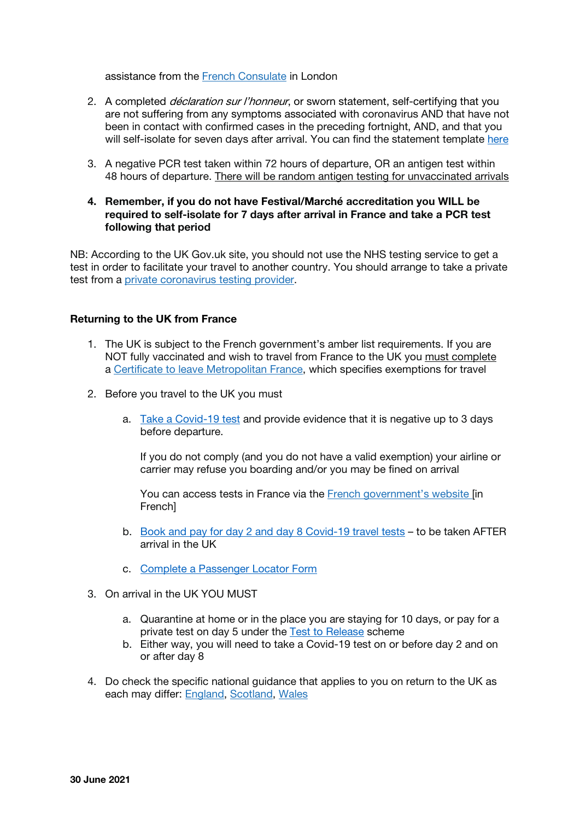assistance from the French [Consulate](https://uk.ambafrance.org/-Consulate-in-London-) in London

- 2. A completed *déclaration sur l'honneur*, or sworn statement, self-certifying that you are not suffering from any symptoms associated with coronavirus AND that have not been in contact with confirmed cases in the preceding fortnight, AND, and that you will self-isolate for seven days after arrival. You can find the statement template [here](https://www.interieur.gouv.fr/Actualites/L-actu-du-Ministere/Certificate-of-international-travel#from4)
- 3. A negative PCR test taken within 72 hours of departure, OR an antigen test within 48 hours of departure. There will be random antigen testing for unvaccinated arrivals
- 4. Remember, if you do not have Festival/Marché accreditation you WILL be required to self-isolate for 7 days after arrival in France and take a PCR test following that period

NB: According to the UK Gov.uk site, you should not use the NHS testing service to get a test in order to facilitate your travel to another country. You should arrange to take a private test from a private [coronavirus](https://www.gov.uk/government/publications/list-of-private-providers-of-coronavirus-testing/list-of-private-providers-of-coronavirus-testing) testing provider.

#### Returning to the UK from France

- 1. The UK is subject to the French government's amber list requirements. If you are NOT fully vaccinated and wish to travel from France to the UK you must complete a Certificate to leave [Metropolitan](https://www.interieur.gouv.fr/Actualites/L-actu-du-Ministere/Certificate-of-international-travel) France, which specifies exemptions for travel
- 2. Before you travel to the UK you must
	- a. [Take a Covid-19 test](https://www.gov.uk/guidance/coronavirus-covid-19-testing-for-people-travelling-to-england) and provide evidence that it is negative up to 3 days before departure.

If you do not comply (and you do not have a valid exemption) your airline or carrier may refuse you boarding and/or you may be fined on arrival

You can access tests in France via the French [government's](https://solidarites-sante.gouv.fr/) website [in French]

- b. [Book and pay for day 2 and day 8 Covid-19 travel tests](https://www.gov.uk/find-travel-test-provider) to be taken AFTER arrival in the UK
- c. [Complete a Passenger Locator Form](https://www.gov.uk/provide-journey-contact-details-before-travel-uk)
- 3. On arrival in the UK YOU MUST
	- a. Quarantine at home or in the place you are staying for 10 days, or pay for a private test on day 5 under the [Test to Release](https://www.gov.uk/guidance/coronavirus-covid-19-test-to-release-for-international-travel) scheme
	- b. Either way, you will need to take a Covid-19 test on or before day 2 and on or after day 8
- 4. Do check the specific national guidance that applies to you on return to the UK as each may differ: [England,](https://www.gov.uk/guidance/coronavirus-covid-19-testing-for-people-travelling-to-england) [Scotland,](https://www.gov.scot/publications/coronavirus-covid-19-public-health-checks-at-borders/pages/testing-for-people-travelling-to-scotland/) [Wales](https://gov.wales/new-mandatory-coronavirus-testing-for-travellers-into-wales)